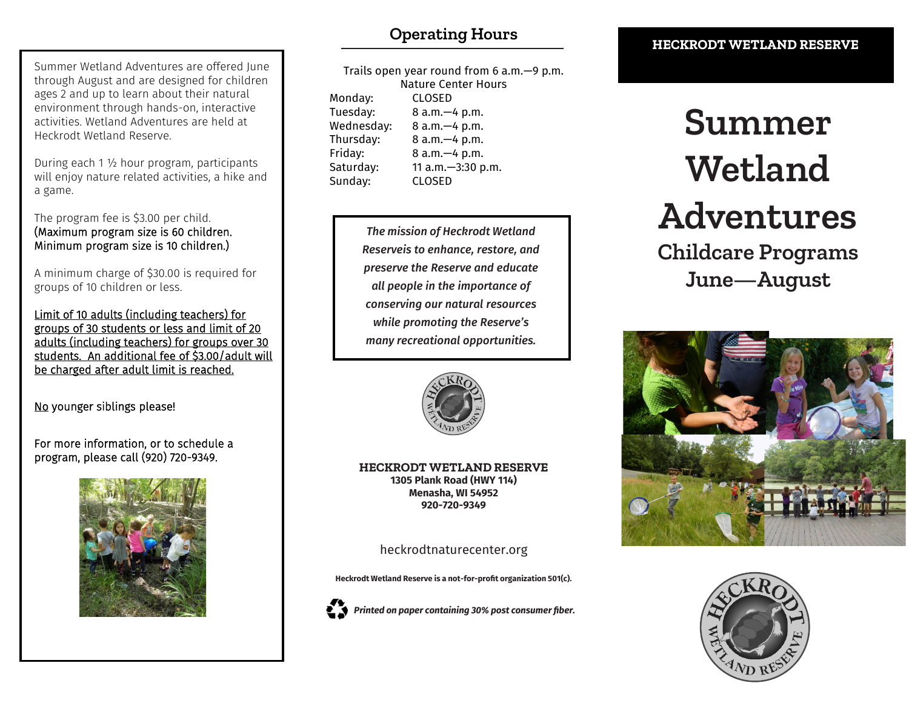#### Summer Wetland Adventures are offered June through August and are designed for children ages 2 and up to learn about their natural environment through hands-on, interactive activities. Wetland Adventures are held at Heckrodt Wetland Reserve.

During each 1 ½ hour program, participants will enjoy nature related activities, a hike and a game.

The program fee is \$3.00 per child. (Maximum program size is 60 children. Minimum program size is 10 children.)

A minimum charge of \$30.00 is required for groups of 10 children or less.

Limit of 10 adults (including teachers) for groups of 30 students or less and limit of 20 adults (including teachers) for groups over 30 students. An additional fee of \$3.00/adult will be charged after adult limit is reached.

No younger siblings please!

For more information, or to schedule a program, please call (920) 720-9349.



# **Operating Hours**

| Trails open year round from 6 $a.m.$ —9 p.m. |                   |
|----------------------------------------------|-------------------|
| <b>Nature Center Hours</b>                   |                   |
| Monday:                                      | <b>CLOSED</b>     |
| Tuesday:                                     | 8 a.m. - 4 p.m.   |
| Wednesday:                                   | 8 a.m. - 4 p.m.   |
| Thursday:                                    | 8 a.m. - 4 p.m.   |
| Friday:                                      | 8 a.m. - 4 p.m.   |
| Saturday:                                    | 11 a.m.-3:30 p.m. |
| Sunday:                                      | <b>CLOSED</b>     |

*The mission of Heckrodt Wetland Reserveis to enhance, restore, and preserve the Reserve and educate all people in the importance of conserving our natural resources while promoting the Reserve's many recreational opportunities.*



**HECKRODT WETLAND RESERVE 1305 Plank Road (HWY 114) Menasha, WI 54952 920-720-9349**

heckrodtnaturecenter.org

**Heckrodt Wetland Reserve is a not-for-profit organization 501(c).**



*Printed on paper containing 30% post consumer fiber.*

#### **HECKRODT WETLAND RESERVE**

# **Summer Wetland Adventures Childcare Programs June—August**